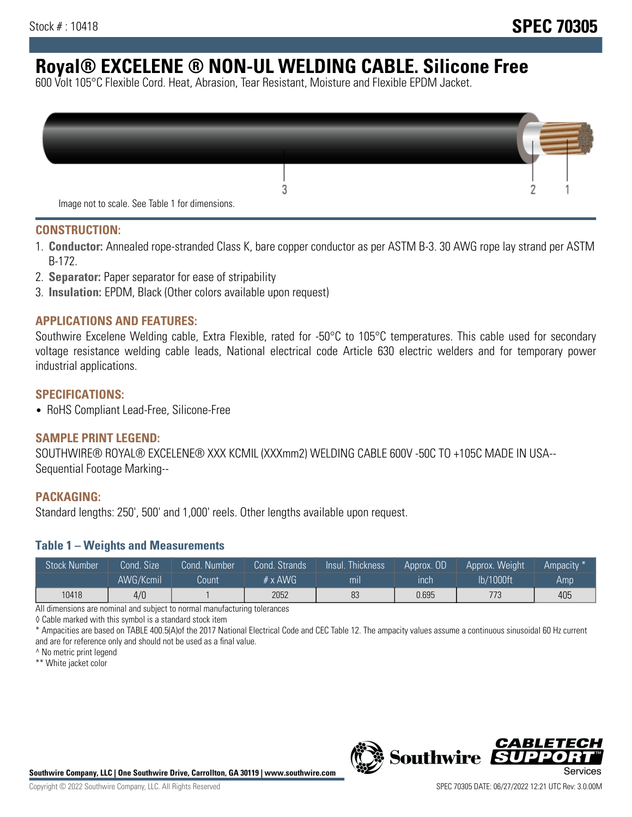# **Royal® EXCELENE ® NON-UL WELDING CABLE. Silicone Free**

600 Volt 105°C Flexible Cord. Heat, Abrasion, Tear Resistant, Moisture and Flexible EPDM Jacket.

| Image not to scale. See Table 1 for dimensions. |  |
|-------------------------------------------------|--|

#### **CONSTRUCTION:**

- 1. **Conductor:** Annealed rope-stranded Class K, bare copper conductor as per ASTM B-3. 30 AWG rope lay strand per ASTM B-172.
- 2. **Separator:** Paper separator for ease of stripability
- 3. **Insulation:** EPDM, Black (Other colors available upon request)

#### **APPLICATIONS AND FEATURES:**

Southwire Excelene Welding cable, Extra Flexible, rated for -50°C to 105°C temperatures. This cable used for secondary voltage resistance welding cable leads, National electrical code Article 630 electric welders and for temporary power industrial applications.

#### **SPECIFICATIONS:**

• RoHS Compliant Lead-Free, Silicone-Free

#### **SAMPLE PRINT LEGEND:**

SOUTHWIRE® ROYAL® EXCELENE® XXX KCMIL (XXXmm2) WELDING CABLE 600V -50C TO +105C MADE IN USA-- Sequential Footage Marking--

#### **PACKAGING:**

Standard lengths: 250', 500' and 1,000' reels. Other lengths available upon request.

#### **Table 1 – Weights and Measurements**

| <b>Stock Number</b> | Cond. Size | Cond. Number | Cond. Strands  | Insul. Thickness | Approx. OD | Approx. Weight | Ampacity * |
|---------------------|------------|--------------|----------------|------------------|------------|----------------|------------|
|                     | AWG/Kcmil  | Count        | # $\times$ AWG | mı               | inch       | lb/1000ft      | Amp        |
| 10418               | 4/0        |              | 2052           | 83               | 0.695      | 773            | 405        |

All dimensions are nominal and subject to normal manufacturing tolerances

◊ Cable marked with this symbol is a standard stock item

\* Ampacities are based on TABLE 400.5(A)of the 2017 National Electrical Code and CEC Table 12. The ampacity values assume a continuous sinusoidal 60 Hz current and are for reference only and should not be used as a final value.

^ No metric print legend

\*\* White jacket color



*CABLE*